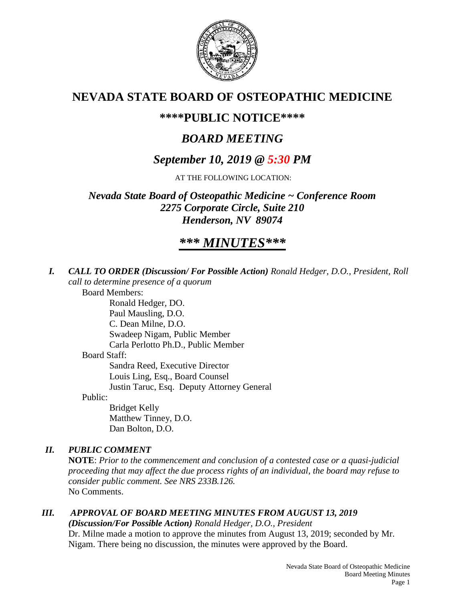

## **NEVADA STATE BOARD OF OSTEOPATHIC MEDICINE**

## **\*\*\*\*PUBLIC NOTICE\*\*\*\***

# *BOARD MEETING*

## *September 10, 2019 @ 5:30 PM*

AT THE FOLLOWING LOCATION:

*Nevada State Board of Osteopathic Medicine ~ Conference Room 2275 Corporate Circle, Suite 210 Henderson, NV 89074*

## *\*\*\* MINUTES\*\*\**

*I. CALL TO ORDER (Discussion/ For Possible Action) Ronald Hedger, D.O., President, Roll call to determine presence of a quorum*

Board Members:

Ronald Hedger, DO. Paul Mausling, D.O. C. Dean Milne, D.O. Swadeep Nigam, Public Member Carla Perlotto Ph.D., Public Member Board Staff: Sandra Reed, Executive Director Louis Ling, Esq., Board Counsel Justin Taruc, Esq. Deputy Attorney General

Public:

Bridget Kelly Matthew Tinney, D.O. Dan Bolton, D.O.

## *II. PUBLIC COMMENT*

**NOTE**: *Prior to the commencement and conclusion of a contested case or a quasi-judicial proceeding that may affect the due process rights of an individual, the board may refuse to consider public comment. See NRS 233B.126.* No Comments.

## *III. APPROVAL OF BOARD MEETING MINUTES FROM AUGUST 13, 2019*

*(Discussion/For Possible Action) Ronald Hedger, D.O., President* Dr. Milne made a motion to approve the minutes from August 13, 2019; seconded by Mr. Nigam. There being no discussion, the minutes were approved by the Board.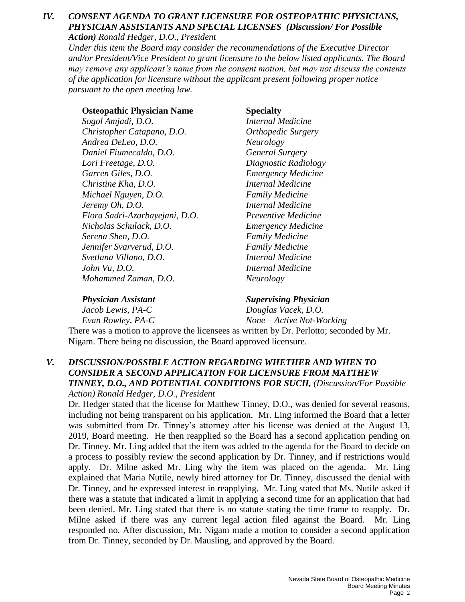### *IV. CONSENT AGENDA TO GRANT LICENSURE FOR OSTEOPATHIC PHYSICIANS, PHYSICIAN ASSISTANTS AND SPECIAL LICENSES (Discussion/ For Possible Action) Ronald Hedger, D.O., President*

*Under this item the Board may consider the recommendations of the Executive Director and/or President/Vice President to grant licensure to the below listed applicants. The Board may remove any applicant's name from the consent motion, but may not discuss the contents of the application for licensure without the applicant present following proper notice pursuant to the open meeting law.*

### **Osteopathic Physician Name Specialty**

*Sogol Amjadi, D.O. Internal Medicine Christopher Catapano, D.O. Orthopedic Surgery Andrea DeLeo, D.O. Neurology Daniel Fiumecaldo, D.O. General Surgery Lori Freetage, D.O. Diagnostic Radiology Garren Giles, D.O. Emergency Medicine Christine Kha, D.O. Internal Medicine Michael Nguyen, D.O. Family Medicine Jeremy Oh, D.O. Internal Medicine Flora Sadri-Azarbayejani, D.O. Preventive Medicine Nicholas Schulack, D.O. Emergency Medicine Serena Shen, D.O. Family Medicine Jennifer Svarverud, D.O. Family Medicine Svetlana Villano, D.O. Internal Medicine John Vu, D.O. Internal Medicine Mohammed Zaman, D.O. Neurology*

*Physician Assistant Supervising Physician Jacob Lewis, PA-C Douglas Vacek, D.O. Evan Rowley, PA-C None – Active Not-Working*

There was a motion to approve the licensees as written by Dr. Perlotto; seconded by Mr. Nigam. There being no discussion, the Board approved licensure.

### *V. DISCUSSION/POSSIBLE ACTION REGARDING WHETHER AND WHEN TO CONSIDER A SECOND APPLICATION FOR LICENSURE FROM MATTHEW TINNEY, D.O., AND POTENTIAL CONDITIONS FOR SUCH, (Discussion/For Possible Action) Ronald Hedger, D.O., President*

Dr. Hedger stated that the license for Matthew Tinney, D.O., was denied for several reasons, including not being transparent on his application. Mr. Ling informed the Board that a letter was submitted from Dr. Tinney's attorney after his license was denied at the August 13, 2019, Board meeting. He then reapplied so the Board has a second application pending on Dr. Tinney. Mr. Ling added that the item was added to the agenda for the Board to decide on a process to possibly review the second application by Dr. Tinney, and if restrictions would apply. Dr. Milne asked Mr. Ling why the item was placed on the agenda. Mr. Ling explained that Maria Nutile, newly hired attorney for Dr. Tinney, discussed the denial with Dr. Tinney, and he expressed interest in reapplying. Mr. Ling stated that Ms. Nutile asked if there was a statute that indicated a limit in applying a second time for an application that had been denied. Mr. Ling stated that there is no statute stating the time frame to reapply. Dr. Milne asked if there was any current legal action filed against the Board. Mr. Ling responded no. After discussion, Mr. Nigam made a motion to consider a second application from Dr. Tinney, seconded by Dr. Mausling, and approved by the Board.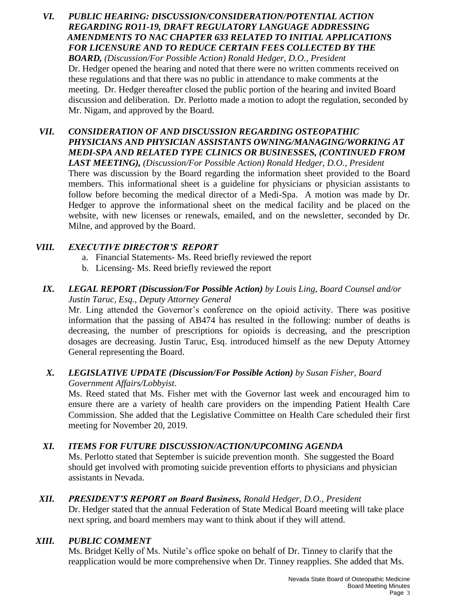- *VI. PUBLIC HEARING: DISCUSSION/CONSIDERATION/POTENTIAL ACTION REGARDING RO11-19, DRAFT REGULATORY LANGUAGE ADDRESSING AMENDMENTS TO NAC CHAPTER 633 RELATED TO INITIAL APPLICATIONS FOR LICENSURE AND TO REDUCE CERTAIN FEES COLLECTED BY THE BOARD, (Discussion/For Possible Action) Ronald Hedger, D.O., President* Dr. Hedger opened the hearing and noted that there were no written comments received on these regulations and that there was no public in attendance to make comments at the meeting. Dr. Hedger thereafter closed the public portion of the hearing and invited Board discussion and deliberation. Dr. Perlotto made a motion to adopt the regulation, seconded by Mr. Nigam, and approved by the Board.
- *VII. CONSIDERATION OF AND DISCUSSION REGARDING OSTEOPATHIC PHYSICIANS AND PHYSICIAN ASSISTANTS OWNING/MANAGING/WORKING AT MEDI-SPA AND RELATED TYPE CLINICS OR BUSINESSES, (CONTINUED FROM LAST MEETING), (Discussion/For Possible Action) Ronald Hedger, D.O., President* There was discussion by the Board regarding the information sheet provided to the Board members. This informational sheet is a guideline for physicians or physician assistants to follow before becoming the medical director of a Medi-Spa. A motion was made by Dr. Hedger to approve the informational sheet on the medical facility and be placed on the website, with new licenses or renewals, emailed, and on the newsletter, seconded by Dr.

### *VIII. EXECUTIVE DIRECTOR'S REPORT*

Milne, and approved by the Board.

- a. Financial Statements- Ms. Reed briefly reviewed the report
- b. Licensing- Ms. Reed briefly reviewed the report

### *IX. LEGAL REPORT (Discussion/For Possible Action) by Louis Ling, Board Counsel and/or Justin Taruc, Esq., Deputy Attorney General*

Mr. Ling attended the Governor's conference on the opioid activity. There was positive information that the passing of AB474 has resulted in the following: number of deaths is decreasing, the number of prescriptions for opioids is decreasing, and the prescription dosages are decreasing. Justin Taruc, Esq. introduced himself as the new Deputy Attorney General representing the Board.

### *X. LEGISLATIVE UPDATE (Discussion/For Possible Action) by Susan Fisher, Board Government Affairs/Lobbyist*.

Ms. Reed stated that Ms. Fisher met with the Governor last week and encouraged him to ensure there are a variety of health care providers on the impending Patient Health Care Commission. She added that the Legislative Committee on Health Care scheduled their first meeting for November 20, 2019.

### *XI. ITEMS FOR FUTURE DISCUSSION/ACTION/UPCOMING AGENDA*

Ms. Perlotto stated that September is suicide prevention month. She suggested the Board should get involved with promoting suicide prevention efforts to physicians and physician assistants in Nevada.

### *XII. PRESIDENT'S REPORT on Board Business, Ronald Hedger, D.O., President*

Dr. Hedger stated that the annual Federation of State Medical Board meeting will take place next spring, and board members may want to think about if they will attend.

### *XIII. PUBLIC COMMENT*

Ms. Bridget Kelly of Ms. Nutile's office spoke on behalf of Dr. Tinney to clarify that the reapplication would be more comprehensive when Dr. Tinney reapplies. She added that Ms.